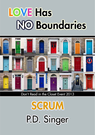# **LOVE Has NO Boundaries**



# Don't Read in the Closet Event 2013

**SCRUM** P.D. Singer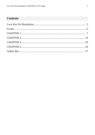# **Contents**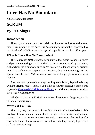# <span id="page-2-0"></span>**Love Has No Boundaries**

*An M/M Romance series*

# **SCRUM By P.D. Singer**

## **Introduction**

The story you are about to read celebrates love, sex and romance between men. It is a product of the *Love Has No Boundaries* promotion sponsored by the *Goodreads M/M Romance Group* and is published as a free gift to you.

## **What Is Love Has No Boundaries?**

The *Goodreads M/M Romance Group* invited members to choose a photo and pen a letter asking for a short M/M romance story inspired by the image; authors from the group were encouraged to select a letter and write an original tale. The result was an outpouring of creativity that shone a spotlight on the special bond between M/M romance writers and the people who love what they do.

A written description of the image that inspired this story is provided along with the original request letter. If you'd like to view the photo, please feel free to join the [Goodreads M/M Romance Group](http://www.goodreads.com/group/show/20149-m-m-romance) and visit the discussion section: *Love Has No Boundaries*.

Whether you are an avid M/M romance reader or new to the genre, you are in for a delicious treat.

## **Words of Caution**

This story may contain sexually explicit content and is **intended for adult readers.** It may contain content that is disagreeable or distressing to some readers. The *M/M Romance Group* strongly recommends that each reader review the General Information section before each story for story tags as well as for content warnings.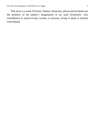This story is a work of fiction. Names, characters, places and incidents are the products of the author's imagination or are used fictitiously. Any resemblance to actual events, locales, or persons, living or dead, is entirely coincidental.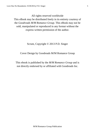All rights reserved worldwide

This eBook may be distributed freely in its entirety courtesy of the *Goodreads M/M Romance Group*. This eBook may not be sold, manipulated or reproduced in any format without the express written permission of the author.

Scrum, Copyright © 2013 P.D. Singer

Cover Design by Goodreads M/M Romance Group

This ebook is published by the *M/M Romance Group* and is not directly endorsed by or affiliated with Goodreads Inc.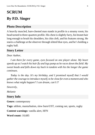# <span id="page-5-0"></span>**SCRUM By P.D. Singer**

## **Photo Description**

A heavily muscled, bare-chested man stands in profile in a steamy room, his head turned to three-quarters profile. His chest is slightly furry, his brunet hair long enough to brush his shoulders, his chin cleft, and his features strong. He stares a challenge at the observer through slitted blue eyes, and he's holding a rugby ball.

#### **Story Letter**

#### *Dear Author*,

*I am there for every game, eyes focused on one player alone. My heart speeds up as I watch his hair fly and legs pump as he races down the field. My sweat beads and falls down my back in tandem with his the longer the game continues.*

*Today is the day. It's my birthday, and I promised myself that I would gather the courage to introduce myself, to be close for even a moment and who knows what might happen? I can dream, can't I?*

*Sincerely,*

*Melanie*

#### **Story Info**

**Genre:** contemporary

**Tags:** athlete, masturbation, slow burn/UST, coming out, sports, rugby

**Content warnings:** vanilla alert, HFN

**Word count:** 10,685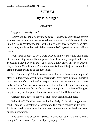# **SCRUM By P.D. Singer**

#### CHAPTER 1

<span id="page-6-0"></span>"Big piles of sweaty men."

Robin's buddy should be writing ad copy—Sebastian couldn't have offered a better line to induce a team-sports-hater to come to a club game. Rugby union. "Not rugby league, none of that hoity-toity, stay-halfway-clean play, but scrums, mauls, and rucks!" Sebastian rattled off mysterious terms, half in a trance.

Robin hadn't a clue, so not a word swayed him toward sitting on a damp hillside watching teams dispute possession of an oddly shaped ball. Until Sebastian handed over an ad. "They have a new player in. Yves Dubois. Played for the Canada under-20s and under-23s. Even if he just coaches, he'll bring our Barbarians up to the next level."

"And I care why?" Robin sneered until he got a look at the imported player. Suddenly whatever brought this man to Denver was the most important thing ever, and if that included team sports, Robin was a fan now. The buffest body in North America went with a cleft chin and a challenging stare daring Robin to come watch the manliest sport on the planet. The heat of his gaze might be only for the game, but it still went straight to Robin's groin.

"Imagine that, covered in sweat, mud, and other men. In public."

"What time?" He'd be there on the dot. Early. Early with tailgate party food. Early with something to autograph. The paper crinkled in his grip— Robin realized he was rumpling the most gorgeous visage he'd ever seen outside a magazine.

"The game starts at seven." Sebastian chuckled, as if he'd heard every thought. "Dress warm. April's still pretty nippy, eh?"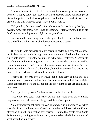"I have a blanket in the trunk." Basic winter survival gear in Colorado. Possibly at rugby games too, especially if he needed to throw something over his traitor groin. If he had to wrap himself head to toe, he could still wipe the drool off his chin with one edge. "Seven. Okay. Um…"

*He's playing, he's not looking into the stands for the love of his life, or even the lust of the night. Yves would be looking at what was happening on the field, and he probably was straight as the goal lines.*

But it would be something new for the spank-bank. For the first time since the end of his t-ball career, Robin looked forward to a game.

\*\*\*\*

The wind would probably take his carefully styled hair straight to chaos, but Robin ran the comb through one more time and added another shot of super-hold spray. Getting the peak just so in the center mattered. A light spritz of cologne was his finishing touch, not that anyone who counted would be coming close enough to get a whiff. The testosterone and sweat rolling off the players would probably choke them both, but Sebastian would be getting the benefit of the perfumer's art for a few minutes at least.

Robin's rust-colored sweater would make him easy to pick out in a potential sea of green and white fans. Just in case Yves looked. Yeah, right. Robin grabbed the keys and dashed for the door. Time to get Sebastian and a good seat.

"Let's put the top down." Sebastian reached for the roof latch.

"Not today. Too cold." Not really, but his hair would be in tatters before they reached the main avenue. He ignored Sebastian's pout.

"I didn't know you followed rugby." Robin was a little startled to learn this about his friend. In three years of working together and the occasional Friday afternoon drink, the subject had never arisen. He aimed his Miata down Santa Fe Boulevard, zipping from lane to lane, trying to beat the lights that marred what should be a highway.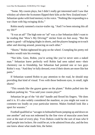"Some. My cousin plays, but I didn't really get interested until I saw that whiskey ad where the Scotsmen flipped their kilts at the New Zealand team." Sebastian spoke with fond memory in his voice. "Nothing like responding to a war chant with big swinging dicks."

Robin nearly rammed a tractor-trailer rig. "And I've been missing this all my life?"

"It was an ad!" The high note on "ad" was a clue Sebastian didn't want to be reading that "How's My Driving?" sticker from six feet away. "But the game is good—all bulging thighs in shorts, and the players hanging on to each other and shoving around, pouncing on each other."

"Shorts." Robin tightened his grip on the wheel. Crumpling his pretty red fenders would ruin his evening.

"Not kilts. Geez, Robin, you're acting like you've never seen a naked man." Sebastian knew perfectly well Robin had seen naked men—their chemistry ran to friendship, but Sebastian had pointed one or two guys Robin's way. "And they're fully dressed, even if their shorts are more like hot pants."

If Sebastian wanted Robin to pay attention to the road, he should stop providing that kind of visual. Yves with those bedroom eyes, in small, tight shorts?

"This sounds like the gayest game on the planet." Robin pulled into the stadium parking lot. "You said your cousin plays?"

Sebastian let go of the "oh shit" handle and flexed his fingers. "He does and it is. It's also widely considered the manliest, so you might not want to comment too loudly on your particular interest. Makes football look like a sport for wussies."

Football qualified as "savages in hobnailed boots jumping up and down on one another" and was not redeemed by the fine view of muscular asses bent over at the start of every play. Yves Dubois could be the sort of man who'd stuff people into lockers. He could be art, to be admired from afar, and the less one knew about what made him, the better.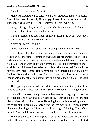"I could introduce you," Sebastian said.

Memories made Robin go cold. "No. Do *not* introduce me to your cousin. Even if he's gay. Especially if he's gay. Every time you set me up with someone, it goes horribly wrong. Remember Steven? Or Kyle?"

"Hey, I thought they were okay! And who knew Kyle would laugh—" Robin cut that short by slamming the car door.

When Sebastian got out, Robin finished making his point. "Just *don't* introduce me to your cousin or anyone else."

"Okay, but you'd like him."

"That's what you said about Kyle." Robin glared, force III. "No."

He collected the blanket and the cooler from the trunk, and followed Sebastian into the stands. Nothing as organized as a program looked available, and the announcer's voice was half static when he called the teams out to the field. A stream of green and white players, dressed in the promised shorts small but not tight—and long-sleeved collared shirts emerged. Suddenly the fashion term made sense. Robin refrained from smacking a *d'oh!* on his forehead. Rugby shirts. Of course. And the stripes and colors made the teams identifiable, although certain match-ups might make the field look like a test bar on acid.

The opposing team in red with white flashes on more jersey-like shirts lined up opposite. "Cross-town rivals," Sebastian supplied. "The Highlanders."

Not a kilt to be seen, though. Not a problem—even in a group of men that averaged tall and heavy and all dressed alike, Robin could pick out the star player. Yves, with his hair loose and brushing his shoulders, stood squarely in the center of the lineup, noticeably buffer than the men to either side, muscles playing in his thighs and forearms with his slight fidgeting. The referee brought Yves and the other team captain to the center and flipped a coin.

That was the last part of the game Robin truly understood—but it didn't matter. He watched, entranced, as the men ran, threw, kicked, and hit the turf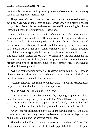in clumps. No one wore padding, making Sebastian's comment about outdoing football for ruggedness terribly apt.

The players reformed in mats of men, bent over and interlocked, shoving, swiping. Yves was at the center of such formations. "He's playing hooker today," Sebastian explained, and even so, that told Robin nothing but that at least six other men were touching all that glory.

Yves had his arms over the shoulders of the two men at his sides, and two more supported him from behind. The opposition locked against him from the front. All told, a dozen men jostled each other, bent at the waist and interwoven. The ball appeared from beneath the heaving thicket—they broke apart and the frenzy began anew. When to shout was easy—scoring happened at goal lines, and snagging the ball away from the other team merited a cheer. The details didn't matter, only that every other man on the field either had his arms around Yves, was tackling him to the ground, or had been captured and brought down by him. The sheer amount of body contact was astounding, and not all of it looked painful.

"Why aren't they doing any forward passes?" Robin could see at least one player who was wide open to catch and didn't have his arms out. The ball shot out of the knot of men contesting possession.

"Against the laws." Sebastian's comment came without any real attention: he peered over the shoulders of the other spectators.

"This is mayhem," Robin muttered. "Laws?"

"Certainly. Rugby can't be contained by anything as puny as rules." Sebastian turned a superior eyebrow on Robin. "They'll have to scrum again, eh?" The irregular shape, not as pointy as a football, made the ball roll erratically, and no one had picked it up when the referee blew his whistle.

"Okay." Maybe this time Robin would figure out what that was. Oh, it was when a dozen men got to hug up and bend over around Yves. A player fed the ball into the clump, and the shoving commenced.

The red team buckled; the men in green surged over them and down. The players not involved in the scrum dashed to help peel the fallen from the pile,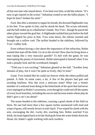all but one man who stayed down. Yves bent over him, as did the referee. "It's easy to get injured in the scrum." Sebastian craned to see the fallen player. "I hope he hasn't broken his neck."

Fuck. But after a moment to regain his breath, the downed Highlander rose to his feet. Yves spoke to him, and he shook his head. The scrum reformed, and the ball ended up in a Barbarian's hands. Not Yves', though he paced the other player toward the goal line. A Highlander tackled him just before the ball carrier flipped his prize at him. Yves went down, the referee tweeted and brought out a yellow card. The tackler headed to the sidelines, followed by Yves' crabby look.

Even without having a clue about the importance of the infraction, Robin wanted that man off the field. Go sit in the sin-bin! How dare he bring down a man loping like a very muscular gazelle? To hell with the game, he was interrupting the poetry of movement. Robin interrupted it himself when Yves took a penalty kick and the scoreboard changed.

"Told you it was exciting," Sebastian gloated at the half. "Another forty minutes of play, but it won't be quite so lively, they're tired."

Good. Yves looked like he could run forever while the others puffed and panted. A little. In some cases, a lot. A few of the players had guts and receding hairlines. Was this even a semi-pro team? What was a former member of a national team doing in the hinterlands of the sport that had never even impinged on Robin's awareness, even though he could reel off the names of every local franchise, including the soccer and lacrosse teams whose play he didn't give a rat's ass about?

The teams headed to the sidelines, carrying a good chunk of the field on them. No one had more than a few square inches unsmeared with mud and wisps of grass, still mostly brown in mid-April. Yves wiped his cheek with his arm, rearranging the dirt. Lucky dirt, touching him. Robin watched Yves drink, his head tipped back to let the fluid gush from the water bottle down his throat, his Adam's apple working with each swallow.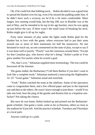Oh, if he could lick that bobbing neck… Robin decided it was a good time to spread the blanket over his lap, even if he missed the padding under him. If he didn't have such a scrawny ass he'd be a lot more comfortable. More lunges, less running would help, but the big 10K race in Boulder was at the end of May, and he intended to be top in his age bracket, since he was aging up just before the race. If there wasn't the small issue of breaking his neck, Robin might give it all up for rugby.

Forty more minutes of play under the lights made Robin glad for the blanket but in love with the game, where everyone had to put their arms around one or more of their teammates for half the maneuvers. No one hesitated to reach out, no one commented on the state of play, except to say if it was done well or poorly. "Poorly" was the consensus around them, "Except for that Canadian guy, who knows what he's doing." Robin's pride in Yves grew another five points when he scored a goal.

"No, that's a try." Sebastian supplied more terminology. The rest could be hoovered off the Internet.

The game ended, the Barbarians ("Call them Barbos if you don't want to look like a complete noob," Sebastian muttered.) outscoring the Highlanders 32–19. "Great game." Sebastian stood and stretched.

"Yeah." Robin watched the team at the sidelines. Some of the spectators came to congratulate them, and a few offered paper and pen to the imported star and then to the others. He wasn't brave enough to join them—would Yves take one look, hear the ping of the gaydar and dismiss him as a hopeless starfucker? Not taking the chance.

But once he was home, Robin looked up and printed out the Barbarians' game schedule. One game a week, some as far as Houston, others as close as the stadium he'd just left. And the practice schedule. Tuesdays and Thursdays at a local park.

Anyone could go to a park.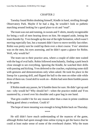#### CHAPTER 2

<span id="page-13-0"></span>Tuesday found Robin doubting himself, Kindle in hand, strolling through Observatory Park. Maybe if he had a dog, he wouldn't look so pathetic marching around looking for a good place to sit and "read".

The team was out and running, in sweats and T-shirts, mostly recognizable for being a wall of men bearing down on him. He stepped aside, letting the team thunder by. Yves brought up the rear of the tight formation, which wasn't moving especially fast, but a tsunami didn't have to move terribly fast either. Robin was pretty sure he could lap them over a short course. Yves' attention was on the men, his eyes assessing, and he didn't spare a glance for Robin. Well, why would he?

The team ran to their practice area, where a couple of older men waited with the bag of oval balls. Robin followed nonchalantly, finding a park bench close enough to see everything. Ignoring the Kindle, he watched their drills with passing and kicking. Yves deferred to the coaches, explaining some skill with gestures and demonstrations only when asked. He took his place in the lineup for a passing drill, and flipped the ball to the men on either side while three of them ran. Good skill to work on—Robin had seen them fumble passes at the game.

If Robin made any passes, he'd fumble them for sure. He didn't get up and run—why would he? Why should he?—when the practice ended and Yves sauntered by, a towel over his shoulder and a gear bag in one hand.

That grin couldn't be for any reason other than a man in prime condition feeling good about a workout. Could it?

The hope of more meaning was enough to bring Robin back on Thursday.

\*\*\*\*

He still didn't have much understanding of the nuances of the game, although Robin had spent enough time online trying to get the basics that he could at least make sense of some of the overheard chatter. Why the team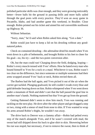polished particular skills was clear enough, and they were growing noticeably better—fewer balls hit the ground in passing drills and more balls sailed through the goal posts with every practice. They'd won an away game in Pocatello, Idaho, and had another game this weekend, in Boulder. Close enough. Robin printed out his ticket and aimed his red convertible northwest up Highway 36.

Without Sebastian.

"Sorry, man," he'd said when Robin asked him along. "Got a date."

Robin would just have to keep a lid on his drooling without any goodnatured pokes.

Check on contained drooling—the adrenaline dried his mouth when Yves went down in a pile of behemoths, and brought Robin to his feet to cheer for his goal—no, his try—and the two-point conversion after.

Oh, but the man could run! Charging down the field, dodging, leaping— Robin's every muscle tensed with Yves' efforts. How he hated every man who bound himself to Yves for a ruck or a maul. Whichever it was, Robin wasn't too clear on the difference, but since someone or multiple someones had their arms wrapped around Yves' back or neck, Robin envied them all.

The Barbos had the ball again, and Yves picked it out of the air when the carrier got tackled. Plunging goalward, he still couldn't evade every blue and gold defender bearing down on him. Robin whimpered when Yves went down under a mountain of flesh and didn't care that the ball passed the goal line in another man's hands. Nothing mattered but that Yves get up from the ground.

Getting flattened didn't seem to slow him much; Yves was running and tackling on the next play. He dove after the other player and got dragged a step or two, rising with a smear of mud from nose to shin. If Yves wanted to wrap his arms around Robin's thighs, he wouldn't run away.

The drive back to Denver was a clammy affair—Robin had pelted every step of the match alongside Yves, and if he wasn't covered with mud, the sweat had still dripped down his back to glue shirt to skin. Showering before his run was stupid, but necessary, if not to remove the sweat, then to think of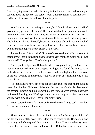Yves' rippling muscles under the spray in the locker room, and to imagine soaping away the traces of the game. Robin's hands on himself became Yves', and he had to stroke himself to a shattering climax.

\*\*\*\*

Tuesday found Robin at the park again; he'd found a closer bench and had given up any pretense of reading. He could watch a team practice, and could even note some of the other players. None as gorgeous as Yves, or as memorable, unless it was for the spectacular flubs one made in kicking drills. The ball went all over the field, bouncing unpredictably and apparently it had to hit the ground once before meeting a foot. Yves demonstrated and coached. Did his student appreciate the skill? Or the view?

And—oh man. Lifting drills? Groups of three sectioned off to hoist one of their number into the air, strong hands on thighs in front and butt in back. "Not the shorts!" Yves yelled. "That's a league lift."

And a giant wedgie, too. Robin shuddered sympathetically, and hated the men who supported Yves, who gripped his thighs and found their noses scant inches from his groin and ass for his seconds in the air, fighting for possession of the ball. Did any of them value what was so near, or was lifting only a skill to practice?

He should leave now, but hope for another grin, one that might even be meant for him, kept Robin on his bench after the coach's whistle blew to end the session. Reward and punishment stalked him, as Yves ambled past with white teeth flashing, and OMG eye contact! And a companion. Another player walked with him, chatting. They never broke stride.

Robin cursed himself for a fool and swore he wouldn't go back Thursday. A vow that lasted until Thursday.

\*\*\*\*

The team went to Provo, leaving Robin to ache for the imagined falls and tackles and gloat at the score. He seldom had to cringe for the Barbos being on the wrong end of the spread. If he wanted to believe Yves scored every point, two or three or five at a time, he knew better. Robin had seen Yves pass the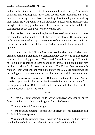ball when he didn't have to, if a teammate could make the try. The manly embraces and backslapping after each success were accolades his Yves deserved, for being a team player, for hauling all of them higher, for making them better. He was popular with the group, too; Tuesdays and Thursdays still brought that passing grin, but more often than not it was in the middle of a conversation about going out for a celebratory beer.

And yet Robin went, every time, hating the obsession and learning to love the game for itself as much as for the beauty of the players. The player. None of the others mattered, except if one or more of the competing team sat in the sin-bin for penalties, thus letting the Barbos humiliate their outnumbered opponents.

He trained for his 10K on Mondays, Wednesdays, and Fridays, and dreamed of running alongside one particular rugby player, who might be faster than he looked during practice. If Yves couldn't match an average 5:56 minute mile on a hilly course, then there might be one thing Robin could outdo him on, but somehow Robin wouldn't bet on it. The Bolder Boulder was this Memorial Day weekend, and making top ten in the 30-39 age bracket was the only thing that would take the sting out of turning thirty right before the race.

That, or a conversation with Yves. Robin dared not hope for more. And he dared not approach, lest his dreams be shattered when Yves turned away from the hopeless fanboy. Better to sit on his bench and share the wordless communication of joy in the skills.

\*\*\*\*

"Let me guess what you want to do for your birthday." Sebastian put on his fakest "thinky face". "You could sign up for scuba lessons—"

"Already certified," Robin snapped.

"—or go bungee jumping." Sebastian rolled right over his declaration as if Robin hadn't even spoken.

"Assuming I like crapping myself in public," Robin snarled. If he enjoyed that, he'd already have had a chat with a certain Canadian godling.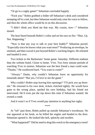"Or go to a rugby game!" Sebastian concluded happily.

"Fuck you." Robin grabbed a folder off Sebastian's desk and considered stomping off in a snit, but then Sebastian would only raise his voice to follow, and then the whole office would be in on this *discussion*.

"I didn't think you liked me that way. My cousin, now—" Sebastian mused.

The heat flared beneath Robin's collar and set his ears on fire. "Shut. Up. Not. Happening."

"Now is that any way to talk to your best buddy?" Sebastian purred. "Especially since he knows what you want most?" Producing an envelope, he smirked, and then waved it just beyond Robin's reaching fingers. He relented and handed it over.

Two tickets to the Barbarians' home game. Saturday. Different stadium than the website listed. Closer to home. Yves. Two forty minute periods of watching Yves in motion. Sebastian was the best friend a man could want. "Thanks." He swallowed hard. "You want to come?"

"Always." Damn, why couldn't Sebastian leave an opportunity for innuendo alone? "But yes, I'd love to see the game."

Why couldn't Robin stop leaving him openings? "I'll pick you up threeish." He returned to his own desk, tickets clutched tightly. He would have gone to the wrong place, spoiled his own birthday, had his friend not intervened. He'd even put the top down this time if Sebastian wanted. He owned a comb.

And it wasn't as if Yves would pay attention to anything but rugby.

\*\*\*\*

At "ish" past three, Robin pulled up outside Sebastian's townhouse. No one appeared at his honk, so he killed the engine and headed to the door. Sebastian opened it. He looked like hell, splotchy and swollen.

"What happened?" Did he need to drag this wreck to the emergency room?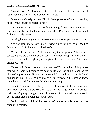"Found a wasp," Sebastian croaked. "So I found the EpiPen, and then I found some Benadryl. This is better than it was."

*Better* was definitely relative. "Should I take you over to Swedish Hospital, or does your insurance prefer Porter?"

"Don't need to go in. The swelling's going down. I own three more EpiPens, a big bottle of antihistamines, and a bed. I'm going to lie down until I feel more nearly human."

Looking human might take longer—those were some spectacular blotches.

"Do you want me to stay, just in case?" Only for a friend as good as Sebastian would Robin even make the offer.

"No, don't worry about it." He waved away the suggestion. "Should have called, but you were already on the road. Go have fun. Happy birthday. Say hi to Yves." He smiled, a ghastly affair given the state of his face. "Get some birthday kisses."

"Sebastian!" Jaysus, the man could be a brat! But he looked slightly better than when Robin had come to the door, so Robin was willing to believe his claim of improvement. He got back into the Miata, mulling words his friend had spoken half in jest. Which meant all in earnest. Did Sebastian know something he hadn't said directly? Or was it all crap?

Fuck it. Today was his birthday. He'd see the man of his dreams play some great rugby, and he'd grow a set. He was old enough to go for what he wanted, and it wasn't going to happen unless he took a risk or two. At worst he could get his ticket stub autographed, and at best?

Robin dared not think of the best, or he'd never get this boner into the stadium undetected.

\*\*\*\*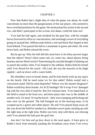#### CHAPTER 3

<span id="page-19-0"></span>Now that Robin had a slight idea of what the game was about, he could concentrate on more than the gorgeousness of the star player, who seemed to have switched positions for the game. He stood poised for action in the second row, and didn't participate in the scrums, but damn, could the man run!

Yves had the ball again, and streaked for the goal line, with his straight brows furrowed in effort or concentration, and seemingly aware of everything going on around him. Milliseconds before a red and black blur leaped at him from behind, Yves passed the ball to a teammate in green and white. He went down hard, and Robin missed the score.

But he got up. Why the hell did this team have to be thirty percent larger than the others? Wasn't there some rule, no, some law, about players being humans and not Mack trucks? Entertaining the suicidal thought of dashing out to punch the tackler when Yves limped to the sideline, Robin held his breath until Yves flexed for the coach—Oh Lord, the way the muscles in his thigh rippled—and sat down with a water bottle.

His shoulders were so broad, damn, and his butt barely took up any space on the bench. Did he need some ice for that ankle? Robin would raid a concession stand. Did he need ibuprofen? Where was the nearest drugstore? Robin would buy three brands. An ACE bandage? He'd wrap Yves' damaged leg with his own shirt if need be. But five minutes later, Yves loped back to the field to stand in the front row, and three plays later was in the middle of another ruck. Or maul. Or maybe brawl—they were stamping and kicking and men were on the ground. The ball boinged out of the heaving mass, to be scooped up by a green and white player. He and Yves played keep-away all the way down the field for another try, defenders never quite catching up with the right man at the right time. Robin ran every step with them, not relaxing until Yves planted the ball past the goal line.

*Just don't let him end up face down in the mud again.* A knot grew in Robin's back from mentally pushing the leviathans away from Yves every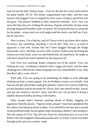time he had the ball. Forlorn hope—Yves bit the dirt five more times before the game ended, 29–24. The teams congratulated each other, and this time anyone who hugged Yves or slapped his back wasn't trying to grind him into the grass. The players hobbled to their respective benches. Yves' face was more dirt than skin, his clothing the memory of green and white, his bare arms and legs disguised beneath a layer of topsoil. He'd bound his hair in a ponytail for the game—wisps stuck out at all angles and the elastic was half out. Fuck, but he was sexy.

Now or never. *I'm a big boy, and all I have to do is get down there before he leaves. Say something. Anything. I can do this.* Why was it so hard to approach a man who looked like he'd been dragged through the hedge backwards, twice, and then run over with a tractor? Robin tried stretching the tension out of his body, arms low and behind him, his head back. He might as well have played the match himself for the physical toll.

And Yves was watching. Robin collapsed out of the stretch. Yves was looking his way, scrubbing at himself with a raggy old towel, and the same challenge he'd offered the camera long ago was now aimed Robin's way. Was that *Back off* or *come closer?*

Well, hell, if he was going to do something, he might as well, although slinking out had a certain appeal. *For my birthday I want a set of balls.* And that was the gift only Robin could give himself. *Unless Yves wants to fulfill my private fantasies and let me grope his.* Oh no, don't get started on that*. Just go and say one sentence, however lame, and then you can go back to being a slightly obsessed fanboy lurking in the bushes*.

Other people didn't hesitate, pushing ahead of Robin, begging for signatures from the players. "Sign my ticket, please?" must have gladdened the few others who had pens thrust at them. Yves smiled for the fans and scrawled on the proffered stubs, but his glance kept returning to Robin's slow progress. Was the upturn of Yves' lips left over from his clamoring fans, or was it for Robin? His feet weighed a thousand pounds each, as if they'd never run miles through parks and over country roads.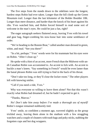The five steps from the stands down to the sidelines were the longest, hardest steps Robin had ever taken. Longer than the hill climb up the Green Mountain trail. Longer than the last kilometer of the Bolder Boulder 10K. Longer than mere distance, and harder than the knock of his heart against his ribs. Yves watched him, and Robin forced himself to read some sort of welcome in the man's eyes. He could be just a fan, right?

The eager autograph seekers fluttered away, leaving Yves with his towel and gear bag, finger-combing his now-loose hair into some semblance of order.

"We're heading to the Bonnie Brae," called another man dressed in green, white, and mud. "See you there!"

"In a bit, perhaps." Yves' words were for his teammate but his eyes were on Robin. "After I clean up."

He spoke with a hint of an accent, more French than the Midwest-with-aneh Canadian Robin was accustomed to. An accent to lick with. An accent to buckle a man's knees. "Say something in French" would be even lamer than the banal phrases Robin was still trying to find in the back of his throat.

"Don't take too long, or they'll close the locker room." The other players left with knowing smiles.

"Call if you need a ride, Yves."

Why was everyone so willing to leave them alone? Not that this wasn't exactly what Robin had dreamed of, but he hadn't expected to get it.

"Thanks, Marcus."

*No! Don't take him away before I've made a thorough ass of myself!* Robin's tongue remained stubbornly tied.

Yves' smile, so confident a moment ago, wavered slightly as the group trickled away, leaving them alone in the stadium with a few straggling watchers and a couple of cleaners with trash bags and poky sticks, stabbing the forgotten cups and hot dog wrappers.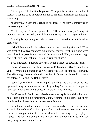"Great game," Robin finally got out. "Ten points this time, and a lot of assists." That had to be important enough to mention, even if his terminology was wrong.

"Thank you." Yves' smile returned full force. "The team is improving as the season goes on."

"Yeah, they are." Firmer ground here. "They aren't dropping things at practice." *Way to go, dodo, why didn't you just say "I'm a creepy stalker?"*

"Kicking is improving too. Marcus scored a conversion from thirty-five yards out."

He had? Somehow Robin had only noticed the screaming afterward. "That was great." Okay, five sentences out at only seventy percent stupid, and Yves was still smiling, so this was a win all the way around. "Um, if you need to go shower before they lock up…" *Can I scrub your back?*

Yves shrugged. "I need to shower at home. I forgot to pack any jeans."

He wasn't reaching for his phone yet, so Robin dared offer. "I could take you…" Where did he need to go? Across town? Back to Montreal? Hawaii? The Miata might have trouble with the Pacific Ocean, but he could charter a freighter… "Oh, and I'm Robin Isley."

"Would you? Thanks." Yves swiped at his butt and the back of his legs again and slung the muddy towel into the gear bag. "Yves Dubois." He put his hand out to complete an introduction he didn't have to make.

*Eve Doo-bwah*. Robin memorized the accented syllable and shook a hand he'd spent a lot of time fantasizing about. Nothing stupid came out of his mouth, and his knees held, so he counted this a win.

Fuck, the walk to the car and the drive home would need conversation, and Robin had already used up his supply of prepared remarks. Now it was time for freeform opportunities to embarrass himself. "How long have you played rugby?" seemed safe enough, and maybe like he hadn't tried to find out everything he could about Yves.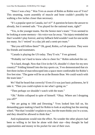"Since I was a boy." Was Yves as aware of Robin as Robin was of Yves? This steaming, warm assembly of muscle and bone couldn't possibly be walking a few inches closer than necessary.

"It's a popular sport in Canada, isn't it?" A question he knew the answer to already, but it seemed safe. "You played for the national team, right?"

"Yes, in the younger teams. Not the Senior men's team." Yves seemed to be looking at some memory—his voice was far away. "An injury reminded me that I wouldn't play forever, and my fallback field wouldn't wait for one tackle too many. So I 'retired' to a day job and a semi-pro team."

"But you still follow them?" Oh, good, Robin, a *d'oh* question. They were his friends and teammates.

"Canada is playing the US today. They'll win." Yves grinned.

"Probably isn't hard to know who to cheer for." Robin unlocked the car.

"It is hard, though. Now that I live in the US, shouldn't I cheer for my new country?" Folding himself into the tiny sports car, Yves demonstrated that six feet three inches of man telescoped into a space more comfortable for Robin's five feet nine. "The game will be on at the Bonnie Brae. We could watch with the team later."

*We?* Had he heard that correctly? Even if it was just basic politeness, he'd take it. "Then you could explain to me what's going on."

"Then perhaps we shouldn't watch with the team."

"Oh." Robin collapsed in spite of himself. "Okay. Where am I dropping you off?"

"*We* are going to 10th and Downing." Yves looked him full on, his demanding gaze making it hard for Robin to look at anything but the steering wheel. "Not that I wouldn't explain to you, but the team thinks you're a scout, and they should be allowed to think that."

And explanations would ruin the effect. No wonder the other players had been so willing to let him be alone with their star—they thought he had opportunities and money in his pocket for one of their own.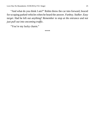"And what do you think I am?" Robin threw the car into forward, braced for scraping parked vehicles when he heard the answer. *Fanboy. Stalker. Easy target.* Had he left out anything? *Remember to stop at the entrance and not just pull out into oncoming traffic.*

"You're my lucky charm."

\*\*\*\*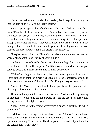#### CHAPTER 4

<span id="page-25-0"></span>Hitting the brakes much harder than needed, Robin kept from nosing out into the path of an SUV. "Your lucky charm?"

Yves snapped against the safety harness. The car settled and threw them back. "Exactly. The team has won every game but one this season. They're the same team as last year, when they won only three." Yves went silent until Robin had them safely on the street. "The only change in the lineup is me. Except they're not the same—they work harder now. And we win. I'm not doing it alone—I couldn't. You come to games—they play with spirit. You come to practice, and they make the effort. They improve."

"They're doing it for you." Robin's knuckles went white on the steering wheel. "They want to be worthy of you." *So do I.*

"Perhaps." Yves rubbed his hand along his own thigh for a moment. A fleck of mud fell off, and he stopped. "But they worked much harder once you came to watch. So I think maybe they do it for both of us?"

"If they're doing it for 'the scout', then they're really doing it for you." Robin refused to think of himself as valuable to the Barbarians, whom he didn't know and who didn't know him. "But I'm glad they're doing it."

"So am I." Yves gave him that brilliant grin from the practice field, blinding at close range. "I like to win."

The car suddenly felt the size of a shower stall. "So I should keep coming to practices?" Robin hung on the answer, missing the green left arrow and having to wait for the light to cycle.

"Please. Not just for the team." Yves' voice dropped. "I work harder when you watch."

OMG, was Yves flirting? Robin swallowed hard. "Um, we're about there. Where am I going?" He followed directions into the parking lot of a high-rise apartment building. "The team will be disappointed if you don't join them for the celebrations, won't they?"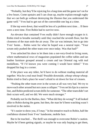"Probably, but they'll be rejoicing for a long time and the game isn't on for a few hours. Come upstairs and I can clean up, maybe explain enough rugby that we can both go without destroying the illusion that you understand the game well." Yves had to get out of the convertible one leg at a time.

If the top were down, that would be less of a problem next time… If there were a next time. First Robin had to survive now.

An elevator that contained Yves really didn't have enough oxygen in it. Robin tried to breathe normally until they reached the seventh floor, but the closeness of the man stole the air away. The car was intimate, but to go into Yves' home… Robin went for what he hoped was a neutral topic. "Your scrum only pushed the other team over once today. Was that bad?"

Yves unlocked his door to let them into a not-very-lived-in living room, where mathematical rows of magazines populated the coffee tables and tan leather furniture grouped around a cream and tan Oriental rug with teal medallions. "If I'd known you were coming I would have tidied." Yves dropped his bag in a corner.

If the place was any tidier, he'd have to do without reading material all together. Was he a real neat freak? Possible downside, *whoop whoop whoop*. Robin tried to find a place he wasn't afraid to sit down for fear of creases.

"Pushing the other team over in the scrum at all was very bad. We try to move each other around but not cause a collapse." Yves set his lips in a narrow line, and Robin predicted scrum drills for someone. "The other team didn't set their scrum well, and we did. We were much stronger."

Probably not for the Barbos, then. "What did they do wrong?" It all looked alike to Robin during the game, but then, the man he'd been watching wasn't involved in the melee.

"It's easier to show you, if I may." In his tentative reach to Robin, half the confidence drained from Yves' handsome, mobile face.

But to be touched… The thrill was enough to overcome Robin's caution. Maybe he'd been getting signals, or maybe he was only hoping to get them,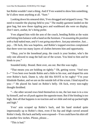but Robin wouldn't start a thing. And if Yves wanted to show him something, he'd allow most anything at all. "Sure."

Looking down his smeared shirt, Yves shrugged and stripped it away. "No need to transfer the playing field to you." The muddy garment landed on the gear bag, but now those rippling pecs and washboard abs were on display. *Don't stare, asshat, he's being polite.*

Yves aligned him with the arm of the couch, bending Robin at the waist and letting him balance with a hand on the furniture. *I'm assuming the position with a half-naked man, and it's not going anywhere. Just pay attention. Just… pay…* Oh fuck, this was hopeless, and Robin's trapped erection complained that there were too many layers of clothes between him and opportunity.

"Okay, you're the loosehead prop, the couch is your hooker, who's the only one allowed to snag the ball out of the scrum. You bind to him and he binds to you."

Sounded kinky. Bound. Bent over, ass out. But this was rugby.

"That means you are holding on tightly." Oh, getting worse. "And now I―" Yves bent over beside Robin and a little to his rear, and draped his arm over Robin's back. Damn it, why did this HAVE to be rugby? "I'm your blindside flanker, and we are on the outside left of the scrum. I bind myself to you—" He placed his hand on Robin's belly. Oh fuck, every non-rugby thought throbbed.

"—the other second rows bind themselves to me, the last man is in a row by himself, and we all push against the opposite team. But if the binding is too high, then all that happens is no traction and we slide and end up packed tight and high."

Yves' arm scraped up Robin's back, and his hand stroked quite impersonally up to Robin's chest, even if his hip and thigh curved around Robin's body. His back and belly were exposed—Yves could have his shirt off in another few inches. *Please, please…* 

"This is bad."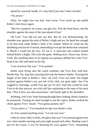*Speak for yourself, buddy. It's only bad if you don't take it further.* "No power."

Okay, for rugby that was bad. And worse, Yves stood up and pulled Robin's shirt down again.

"But for a properly set scrum, one gets low. Puts the head down, and the shoulder against the meat of the man ahead of him."

Oh Lord. Yves did *not* just say that. But he was demonstrating, his shoulder now against the joint of Robin's thigh and ass, his head low enough to let him look under Robin's belly if he wished. Where he could see the throbbing erection he'd roused, demanding to escape the denim that contained it. *Maybe I could just die now. Or use it.* A muscular arm snaked around behind Robin's thighs. *This is for the game. Nothing more. Down, boy. Down.* Yeah, like anything short of an orgasm was going to deflate him with Yves' head at his side and hand on his hip.

"Lots of power this way." Yves pushed.

Robin went flying onto the couch cushions, and Yves flew with him. Beside him. No, atop him, pressing him into the buttery leather. Pressing the length of his body to Robin's. And—oh Lord, Yves was hard. His length crushed against Robin's ass, just left of his cleft, not quite right—but if he wiggled to rearrange, would Yves get up? Or not? And why would he want Yves to do that anyway, not with soft lips explaining to the nape of his neck that, "This is how you take possession," and hands tight to his shoulders.

Writhing, with Yves' body burning through their clothing, Robin wanted to be possessed. Turning his head enough to see his captor, Robin stroked his cheek against Yves' mouth. "You gonna possess me?"

"If you allow it." Yves brushed his lips over Robin's skin.

As if he wanted anything more. "Let me turn over."

Chest to chest, belly to belly, the glory that was Yves pressed against him now, their mouths meeting and arms tight around each other. Binding wasn't just for the scrum, it was for thrusting his cock against Yves', demanding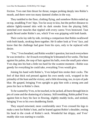friction. Yves met him thrust for thrust, tongue probing deeply into Robin's mouth, and there were too many damned clothes in the way.

They tumbled to the floor, clothing flying, and somehow Robin ended up on top, straddling Yves' hips. Too far away to kiss, but the perfect distance to admire lightly-tanned skin with its dark streaks from the playing field, stretched over muscles that rippled with every caress Yves bestowed. Taut quads flexed under Robin's ass, which Yves was gripping with both hands.

Their cocks lay side by side, inviting a comparison that Robin swallowed with both hands, stroking them together. He'd rather look at Yves' face, and know that the challenge had gone from his eyes, only to be replaced with desire.

"Yes," Yves breathed, and Robin wouldn't question, but touch everywhere he was invited to—he'd touch everything he'd dreamed of for weeks. The heat against his palms, the rasp of hair against his balls, even the small pain where Yves dug into his butt a little too hard for the scantest moment—Robin was greedy for everything he could take, everything Yves would give.

Joining his hand with Robin's, Yves helped him stroke their cocks. The feel of that thick rod pressed against his own needy cock, wrapped in the primality of the hunt and the victory, and a little drowning, too, in eyes of pale blue. He gasped, bringing Yves upright to grip him with a strong arm and press his face to Robin's chest.

To be wanted by Yves, to be touched, to be jacked, all burst through him in jets of come and the shattering of a fantasy. Still trembling, Robin pulled Yves against him to bury his face in flowing, slightly muddy locks, and stroked, bringing Yves to his own shuddering finish.

They stayed entwined, more comfortably once Yves crossed his legs to make a nest for Robin's butt, and he leaned against Robin's shoulder, resting his head in the crook of Robin's neck. Wonderful but drippy, and Yves' muddy skin was starting to crackle.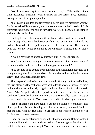"We'll mess your rug if we stay here much longer." The trails on their skins demanded attention. Robin brushed his lips across Yves' forehead, tasting the salt of the game upon him.

"This rug is a hundred and fifty years old. I'm sure it's met much worse." But Yves helped Robin get up, with the same maneuver he'd used to lift his teammate in pursuit of the ball. In turn, Robin offered a hand, to be enveloped and rewarded with a kiss.

Guiding Robin to the shower with one hand on his shoulder, Yves walked them through a bedroom that looked as if the Tasmanian Devil had made the bed and finished with a trip through the closet holding a rake. The contrast with the pristine living room made Robin choke a little, but he didn't comment.

"I would have had this neat by Tuesday, but…" Yves shrugged.

Tuesday was a practice night. "You were going to make a move?" After all those nights that ended in nothing but a happy flash of teeth?

"You seemed to be getting over that deer in the headlights reaction, so I thought it might be time." Yves kissed him and shoved him under the shower spray. "But you approached me first."

They explored each other with sudsy hands, finding crevices and bulges, the firm places and the soft ones. Yves bent to let Robin create masses of foam with the shampoo, and nearly wriggled under his hands. Robin had to nuzzle Yves' Adam's apple when he tipped back to rinse, remembering every swallow of sports drink where he'd held the bottle vertically. Tease. The top of Robin's head only came to Yves' nose—he had to stand on tiptoe to reach.

Free of shampoo and hard again, Yves took a dollop of conditioner and didn't put it on his hair. Rubbing it on his cock instead, he turned Robin to face the tiles. "Not in." But close—Yves settled his erection into the cleft of Robin's ass to stroke between.

Good, but not as satisfying as in, but without a condom, Robin wouldn't complain. Not with the man he'd yearned for plastered against his skin. With that friendly reach-around to get Yves' big hand around his cock, Robin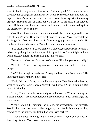wasn't about to say a word that wasn't "Mmm, good." Not when he was enveloped in strong arms and hands, not when Yves brushed his lips over the nape of Robin's neck, not when his hips were thrusting with increasing urgency. The water beat on them, but wasn't as hot as the come Yves sprayed across Robin's lower back, and scant strokes later, Robin convulsed against the pressure of Yves' fingers.

Yves lifted him upright and let the water wash his come away, nuzzling the side of Robin's head. They had to break apart to rinse off Yves' traces, letting Robin get his first good look at his favorite rugby player in the nude. He scrubbed at a muddy mark on Yves' leg, watching it drizzle away.

"You clean up nice." Better than nice. Gorgeous, but Robin was keeping a lid on the gushing. He ran the soapy cloth up and down Yves' thigh, and felt warm pressure under his arms, bringing him to stand.

"So do you." Yves bent for a brush of mouths. "Not that you were muddy."

"Not like—" Instead of explanations, Robin ran his hands over Yves' biceps.

"So?" That brought an eyebrow. "Strong and lean. Built like a runner." He investigated how runners' glutes felt.

"Yeah, I do run." Okay, he could breathe again: Yves liked what he saw, what he touched. Robin leaned against the wall of man. "I'm in training. Big race this Monday."

"Really?" Yves shut the water and groped for towels. "You're running the Bolder Boulder?" He flipped terrycloth around Robin's back and hugged the water away.

"Yeah." Should he mention the details, his expectations for himself? Would that seem too much like bragging, and feeble bragging at that, compared to the athleticism Robin had witnessed earlier?

"I thought about running, but had no partner. Maybe you and I…?" Toweling his hair, Yves' voice went much quieter.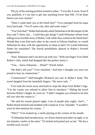The joy of his starting position turned to ashes. "I'm in the A wave. Even if you qualified, it's too late to get into anything lower than HH. I'd be done before you ever started."

"Then I could meet you at the finish line?" Yves emerged from his aqua terry barricade. "You'll want a dry shirt and some water."

"You'd do that?" Robin had already asked Sebastian to be the keeper of the keys and T-shirts, but… Could they get along? Could Sebastian refrain from telling every horrible story of Robin's life while they waited at the finish line? Would they even find each other in the crowd at Folsom Stadium, or would Sebastian be okay with the opportunity to sleep in later? Or would Sebastian flutter his eyelashes? The horrid possibilities danced in Robin's fevered imagination.

"Sure. Sebastian and I can drive up with you." With one finger Yves lifted Robin's chin, which had dropped like the perfect ninny's.

"You… know Sebastian… Whah?" Words failed.

"He didn't tell you?" Yves chuckled. "And here I thought you were too proud to lean on connections."

"Connections?" Half-thoughts flickered *zzzt zzzt* in Robin's head. The towel dangled from his immobile fingers. "He never said…"

Yves took the towel away and knelt to wipe the drips from Robin's legs. "I'm the cousin you refused to allow him to introduce." Sliding the towel between Robin's thighs, he went on. "I didn't imagine you refused to let him tell you who the cousin is."

"He said his cousin played rugby. Lots of people play rugby. And I…" Robin shook himself and steadied with a hand on Yves' shoulder. "I wouldn't even let him mention his cousin…"

"Why?" Yves looked up, a smile playing at the corners of his mouth.

"If Sebastian had introduced us, we'd have hated each other on sight, or in ten minutes, twelve at the most." Or fucked and parted just as fast. "He has a terrible track record."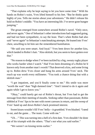"That explains why he kept saying to let you have some time." With his hands on Robin's waist, Yves lifted himself to his feet. "But he thinks quite highly of you. Tells me stories about your adventures." He didn't release his hold on Robin's middle. "You have an interesting life. I've never gone bungee jumping."

The groan emerged from somewhere around Robin's navel. "Only once, and never again." One of Sebastian's other introductions had suggested going, and had *not* been sympathetic, to say the least. That's when Robin had also said "never again" to Sebastian's matchmaking attempts. He leaned into Yves' chest, unwilling to let him see the remembered humiliation.

"He said you were smart. And loyal." Yves bent down for another kiss, which landed in Robin's hair. "Also skittish, but you seem to have gotten over that."

"No reason to dodge when I've been tackled by a big, sweaty rugby player who works harder when I watch." Had Yves been dreaming of a Robin he'd known only from another man's words? That deserved a kiss, and some living up to. Robin drew Yves closer and hung his arms around Yves' neck. The reach up was worth every millimeter. "You took a chance doing that with a skittish man."

"I got impatient, and you'd finally come to me." His smile was more "worth the wait" than "high damned time". "And I intend to do it again and again while I get to know you."

"Okay," could barely get out of Robin's throat, but Yves had to get the message from their meeting of mouths. Seeking rather than passionate, Robin nibbled at Yves' lips to be met with sweet caresses in return, and the sweep of Yves' hand up and down Robin's back promised interest.

Sweet kisses wouldn't fill Yves' belly—it grumbled. Yves blushed. "I need to eat, and the game… The team. Come with me."

"Uh…" This was turning into a hell of a first date. Yves shouldn't be done out of his triumph with the others. "That's not what you said earlier."

"We weren't on kissing terms earlier."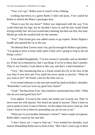"True. Let's go." Robin went in search of his clothing.

Looking marvelous in a green Barbo T-shirt and jeans, Yves waited for Robin to unlock the Miata's passenger door.

"Want to put the top down?" Robin was impressed with the way Yves could telescope his legs, but he shouldn't have to, and his hair would finish drying awfully fast. His own would take a beating, but that was fine, this time. Maybe go with the tousled look for the summer.

"Yes!" That broad grin was added reason to go topless. Robin flipped a handle and opened the car to the sun.

The Bonnie Brae Tavern wasn't far, just far enough for Robin to get jittery. "I'm going to have to keep really quiet if they aren't going to twig to me not being a scout."

Yves nodded thoughtfully. "I'm not certain it's possible, and we shouldn't try. If they lie to themselves, that's one thing. If we lie to them, that's another. They're my friends; I want them to like you, and that's a bad foundation."

"Very." But introducing him as a friend would also fly in the face of the way they'd seen him and Yves smile but never speak at practice. "What do you want to do?" He found a slot for the little red car.

Yves turned sideways in the seat and rested his hand on Robin's shoulder. "Remember I said you were my good luck charm?"

"Yeah." The heat from Yves' skin somehow transformed into chills. "What else do you need good luck for?"

Yves sighed. "I'm not in the closet, but neither am I exactly out. They've never seen me with anyone. Nor heard me speak of anyone. There's been no one to speak of since I came to Denver. So the subject has never come up. And I don't want to lie to them by pretending you are no one to me."

"What am I to you besides Sebastian's stories?" *And a couple of orgasms.* Robin didn't reach for his seat belt.

"I don't know yet. I want to find out." Yves stroked his shoulder, each motion demanding Robin turn to look at him. "But I don't want to go in there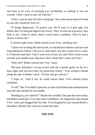and have to be wary of touching you accidentally or smiling at you too warmly. I don't want to start off with lies."

"I don't want to start off with a stomping." He could outrun them if he had to, but why should he have to?

"If things degenerate, I'll protect you. We'll leave if it gets ugly, but Robin, they're riding the high of the victory. They've seen me at practice, they bind to me, I bind to them, there's never been a problem. They've had a chance to know me."

It almost made sense. Robin turned to see Yves' pleading eyes.

"I know we're doing this backwards, we should have dinners and runs and long afternoons before I ask you to meet them, but they expect me to come, it's what the team does. I don't want you to leave yet, and I don't want to treat you like just another man. Because I don't think that's what you'll be."

"Why not?" Robin relaxed into Yves' hand.

"Because Sebastian's set-up record with me is pretty good. So far he's been right, and you have been my good luck charm." Yves worked a thumb along the side of Robin's neck. "So this will go well too."

"I hope so." And if not, he could outrun them. Yves seemed pretty confident.

"It will." But Yves didn't open the car door until Robin had unfastened the seat belt and reached for the handle.

"Binding on, you called it?" Maybe this wouldn't last past the tavern door, but Robin would give Yves this much confidence. He slipped his arm around Yves' waist and snugged into his side. Yves dropped his arm around Robin's shoulders. Bound, they went in to meet the team.

#### **THE END**